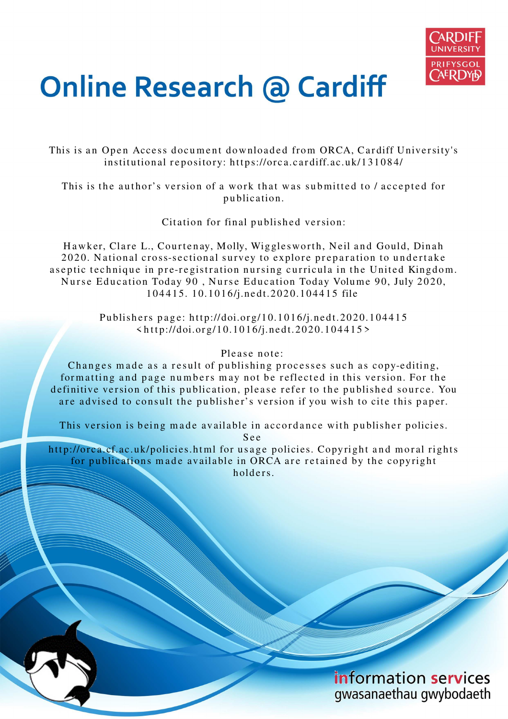

# **Online Research @ Cardiff**

This is an Open Access document downloaded from ORCA, Cardiff University's institutional repository: https://orca.cardiff.ac.uk/131084/

This is the author's version of a work that was submitted to / accepted for p u blication.

Citation for final published version:

Hawker, Clare L., Courtenay, Molly, Wigglesworth, Neil and Gould, Dinah 2020. National cross-sectional survey to explore preparation to undertake a septic technique in pre-registration nursing curricula in the United Kingdom. Nurse Education Today 90, Nurse Education Today Volume 90, July 2020, 1 0 4 4 1 5. 1 0.10 1 6/j.ne dt.2 0 2 0.10 4 4 1 5 file

> Publishers page: http://doi.org/10.1016/j.nedt.2020.104415  $\langle \text{http://doi.org/10.1016/j.nett.2020.104415>}$

## Please note:

Changes made as a result of publishing processes such as copy-editing, formatting and page numbers may not be reflected in this version. For the definitive version of this publication, please refer to the published source. You are advised to consult the publisher's version if you wish to cite this paper.

This version is being made available in accordance with publisher policies.

S e e

http://orca.cf.ac.uk/policies.html for usage policies. Copyright and moral rights for publications made available in ORCA are retained by the copyright holders.

> information services gwasanaethau gwybodaeth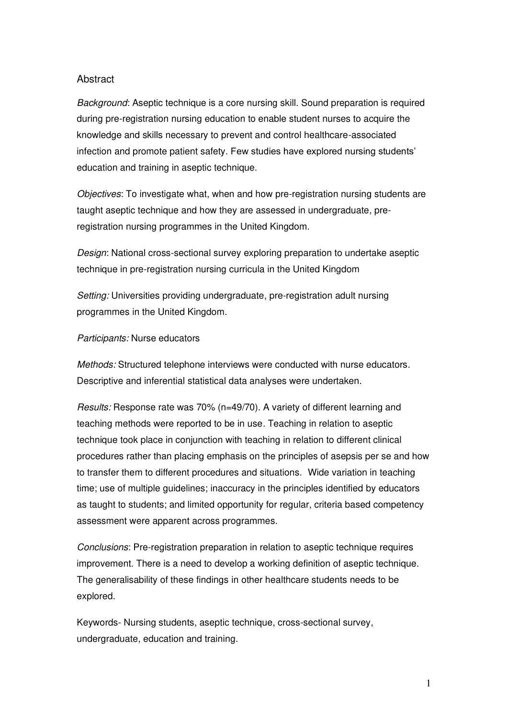#### **Abstract**

*Background*: Aseptic technique is a core nursing skill. Sound preparation is required during pre-registration nursing education to enable student nurses to acquire the knowledge and skills necessary to prevent and control healthcare-associated infection and promote patient safety. Few studies have explored nursing students' education and training in aseptic technique.

*Objectives*: To investigate what, when and how pre-registration nursing students are taught aseptic technique and how they are assessed in undergraduate, preregistration nursing programmes in the United Kingdom.

*Design*: National cross-sectional survey exploring preparation to undertake aseptic technique in pre-registration nursing curricula in the United Kingdom

*Setting:* Universities providing undergraduate, pre-registration adult nursing programmes in the United Kingdom.

#### *Participants:* Nurse educators

*Methods:* Structured telephone interviews were conducted with nurse educators. Descriptive and inferential statistical data analyses were undertaken.

*Results:* Response rate was 70% (n=49/70). A variety of different learning and teaching methods were reported to be in use. Teaching in relation to aseptic technique took place in conjunction with teaching in relation to different clinical procedures rather than placing emphasis on the principles of asepsis per se and how to transfer them to different procedures and situations. Wide variation in teaching time; use of multiple guidelines; inaccuracy in the principles identified by educators as taught to students; and limited opportunity for regular, criteria based competency assessment were apparent across programmes.

*Conclusions*: Pre-registration preparation in relation to aseptic technique requires improvement. There is a need to develop a working definition of aseptic technique. The generalisability of these findings in other healthcare students needs to be explored.

Keywords- Nursing students, aseptic technique, cross-sectional survey, undergraduate, education and training.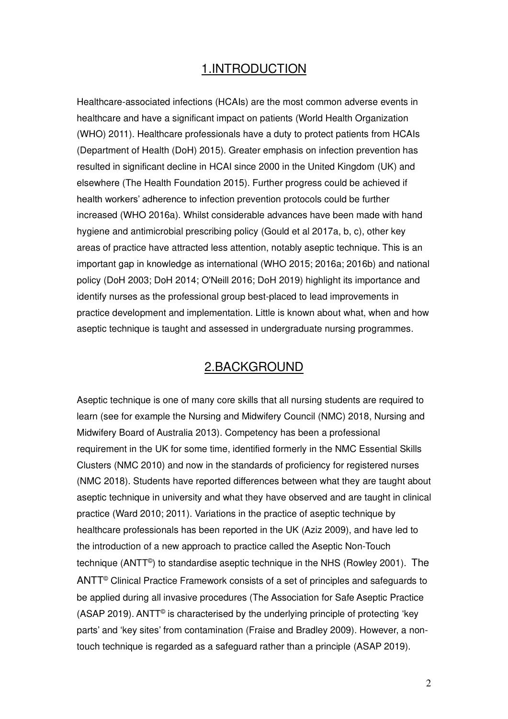## 1.INTRODUCTION

Healthcare-associated infections (HCAIs) are the most common adverse events in healthcare and have a significant impact on patients (World Health Organization (WHO) 2011). Healthcare professionals have a duty to protect patients from HCAIs (Department of Health (DoH) 2015). Greater emphasis on infection prevention has resulted in significant decline in HCAI since 2000 in the United Kingdom (UK) and elsewhere (The Health Foundation 2015). Further progress could be achieved if health workers' adherence to infection prevention protocols could be further increased (WHO 2016a). Whilst considerable advances have been made with hand hygiene and antimicrobial prescribing policy (Gould et al 2017a, b, c), other key areas of practice have attracted less attention, notably aseptic technique. This is an important gap in knowledge as international (WHO 2015; 2016a; 2016b) and national policy (DoH 2003; DoH 2014; O'Neill 2016; DoH 2019) highlight its importance and identify nurses as the professional group best-placed to lead improvements in practice development and implementation. Little is known about what, when and how aseptic technique is taught and assessed in undergraduate nursing programmes.

## 2.BACKGROUND

Aseptic technique is one of many core skills that all nursing students are required to learn (see for example the Nursing and Midwifery Council (NMC) 2018, Nursing and Midwifery Board of Australia 2013). Competency has been a professional requirement in the UK for some time, identified formerly in the NMC Essential Skills Clusters (NMC 2010) and now in the standards of proficiency for registered nurses (NMC 2018). Students have reported differences between what they are taught about aseptic technique in university and what they have observed and are taught in clinical practice (Ward 2010; 2011). Variations in the practice of aseptic technique by healthcare professionals has been reported in the UK (Aziz 2009), and have led to the introduction of a new approach to practice called the Aseptic Non-Touch technique (ANTT© ) to standardise aseptic technique in the NHS (Rowley 2001). The ANTT<sup>©</sup> Clinical Practice Framework consists of a set of principles and safeguards to be applied during all invasive procedures (The Association for Safe Aseptic Practice (ASAP 2019). ANTT© is characterised by the underlying principle of protecting 'key parts' and 'key sites' from contamination (Fraise and Bradley 2009). However, a nontouch technique is regarded as a safeguard rather than a principle (ASAP 2019).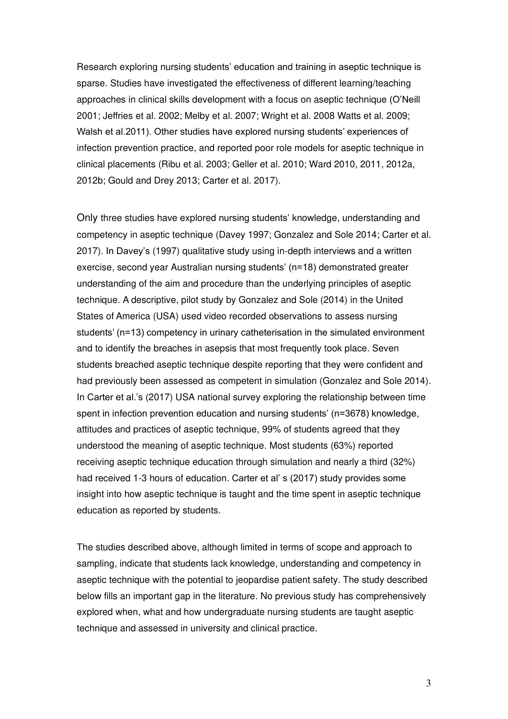Research exploring nursing students' education and training in aseptic technique is sparse. Studies have investigated the effectiveness of different learning/teaching approaches in clinical skills development with a focus on aseptic technique (O'Neill 2001; Jeffries et al. 2002; Melby et al. 2007; Wright et al. 2008 Watts et al. 2009; Walsh et al.2011). Other studies have explored nursing students' experiences of infection prevention practice, and reported poor role models for aseptic technique in clinical placements (Ribu et al. 2003; Geller et al. 2010; Ward 2010, 2011, 2012a, 2012b; Gould and Drey 2013; Carter et al. 2017).

Only three studies have explored nursing students' knowledge, understanding and competency in aseptic technique (Davey 1997; Gonzalez and Sole 2014; Carter et al. 2017). In Davey's (1997) qualitative study using in-depth interviews and a written exercise, second year Australian nursing students' (n=18) demonstrated greater understanding of the aim and procedure than the underlying principles of aseptic technique. A descriptive, pilot study by Gonzalez and Sole (2014) in the United States of America (USA) used video recorded observations to assess nursing students' (n=13) competency in urinary catheterisation in the simulated environment and to identify the breaches in asepsis that most frequently took place. Seven students breached aseptic technique despite reporting that they were confident and had previously been assessed as competent in simulation (Gonzalez and Sole 2014). In Carter et al.'s (2017) USA national survey exploring the relationship between time spent in infection prevention education and nursing students' (n=3678) knowledge, attitudes and practices of aseptic technique, 99% of students agreed that they understood the meaning of aseptic technique. Most students (63%) reported receiving aseptic technique education through simulation and nearly a third (32%) had received 1-3 hours of education. Carter et al' s (2017) study provides some insight into how aseptic technique is taught and the time spent in aseptic technique education as reported by students.

The studies described above, although limited in terms of scope and approach to sampling, indicate that students lack knowledge, understanding and competency in aseptic technique with the potential to jeopardise patient safety. The study described below fills an important gap in the literature. No previous study has comprehensively explored when, what and how undergraduate nursing students are taught aseptic technique and assessed in university and clinical practice.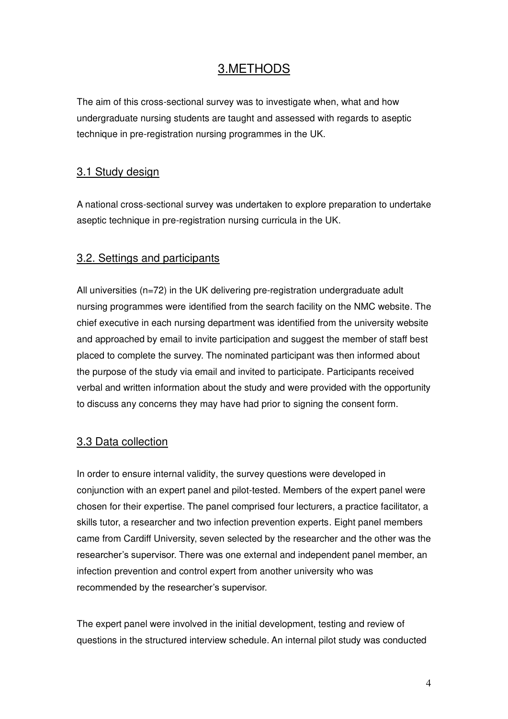## 3.METHODS

The aim of this cross-sectional survey was to investigate when, what and how undergraduate nursing students are taught and assessed with regards to aseptic technique in pre-registration nursing programmes in the UK.

## 3.1 Study design

A national cross-sectional survey was undertaken to explore preparation to undertake aseptic technique in pre-registration nursing curricula in the UK.

## 3.2. Settings and participants

All universities (n=72) in the UK delivering pre-registration undergraduate adult nursing programmes were identified from the search facility on the NMC website. The chief executive in each nursing department was identified from the university website and approached by email to invite participation and suggest the member of staff best placed to complete the survey. The nominated participant was then informed about the purpose of the study via email and invited to participate. Participants received verbal and written information about the study and were provided with the opportunity to discuss any concerns they may have had prior to signing the consent form.

#### 3.3 Data collection

In order to ensure internal validity, the survey questions were developed in conjunction with an expert panel and pilot-tested. Members of the expert panel were chosen for their expertise. The panel comprised four lecturers, a practice facilitator, a skills tutor, a researcher and two infection prevention experts. Eight panel members came from Cardiff University, seven selected by the researcher and the other was the researcher's supervisor. There was one external and independent panel member, an infection prevention and control expert from another university who was recommended by the researcher's supervisor.

The expert panel were involved in the initial development, testing and review of questions in the structured interview schedule. An internal pilot study was conducted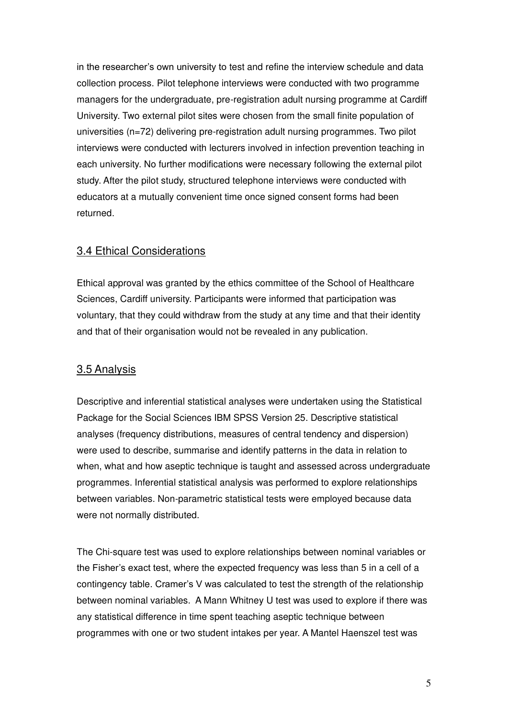in the researcher's own university to test and refine the interview schedule and data collection process. Pilot telephone interviews were conducted with two programme managers for the undergraduate, pre-registration adult nursing programme at Cardiff University. Two external pilot sites were chosen from the small finite population of universities (n=72) delivering pre-registration adult nursing programmes. Two pilot interviews were conducted with lecturers involved in infection prevention teaching in each university. No further modifications were necessary following the external pilot study. After the pilot study, structured telephone interviews were conducted with educators at a mutually convenient time once signed consent forms had been returned.

## 3.4 Ethical Considerations

Ethical approval was granted by the ethics committee of the School of Healthcare Sciences, Cardiff university. Participants were informed that participation was voluntary, that they could withdraw from the study at any time and that their identity and that of their organisation would not be revealed in any publication.

#### 3.5 Analysis

Descriptive and inferential statistical analyses were undertaken using the Statistical Package for the Social Sciences IBM SPSS Version 25. Descriptive statistical analyses (frequency distributions, measures of central tendency and dispersion) were used to describe, summarise and identify patterns in the data in relation to when, what and how aseptic technique is taught and assessed across undergraduate programmes. Inferential statistical analysis was performed to explore relationships between variables. Non-parametric statistical tests were employed because data were not normally distributed.

The Chi-square test was used to explore relationships between nominal variables or the Fisher's exact test, where the expected frequency was less than 5 in a cell of a contingency table. Cramer's V was calculated to test the strength of the relationship between nominal variables. A Mann Whitney U test was used to explore if there was any statistical difference in time spent teaching aseptic technique between programmes with one or two student intakes per year. A Mantel Haenszel test was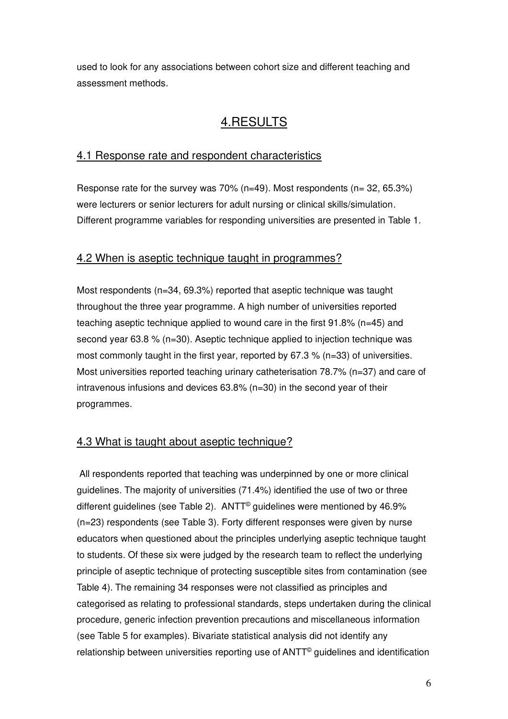used to look for any associations between cohort size and different teaching and assessment methods.

# 4.RESULTS

## 4.1 Response rate and respondent characteristics

Response rate for the survey was  $70\%$  (n=49). Most respondents (n= 32, 65.3%) were lecturers or senior lecturers for adult nursing or clinical skills/simulation. Different programme variables for responding universities are presented in Table 1.

## 4.2 When is aseptic technique taught in programmes?

Most respondents (n=34, 69.3%) reported that aseptic technique was taught throughout the three year programme. A high number of universities reported teaching aseptic technique applied to wound care in the first 91.8% (n=45) and second year 63.8 % (n=30). Aseptic technique applied to injection technique was most commonly taught in the first year, reported by 67.3 % (n=33) of universities. Most universities reported teaching urinary catheterisation 78.7% (n=37) and care of intravenous infusions and devices 63.8% (n=30) in the second year of their programmes.

## 4.3 What is taught about aseptic technique?

All respondents reported that teaching was underpinned by one or more clinical guidelines. The majority of universities (71.4%) identified the use of two or three different guidelines (see Table 2). ANTT<sup>®</sup> guidelines were mentioned by 46.9% (n=23) respondents (see Table 3). Forty different responses were given by nurse educators when questioned about the principles underlying aseptic technique taught to students. Of these six were judged by the research team to reflect the underlying principle of aseptic technique of protecting susceptible sites from contamination (see Table 4). The remaining 34 responses were not classified as principles and categorised as relating to professional standards, steps undertaken during the clinical procedure, generic infection prevention precautions and miscellaneous information (see Table 5 for examples). Bivariate statistical analysis did not identify any relationship between universities reporting use of ANTT<sup>®</sup> guidelines and identification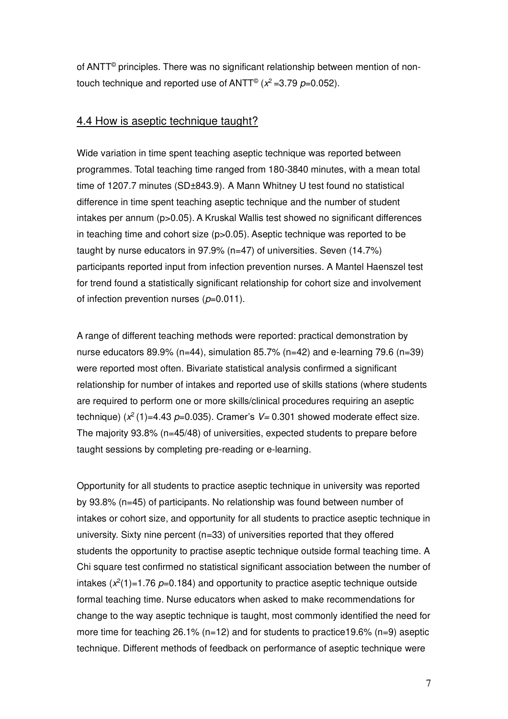of ANTT© principles. There was no significant relationship between mention of nontouch technique and reported use of  $ANTT^{\odot}$  ( $x^2$  =3.79  $p$ =0.052).

#### 4.4 How is aseptic technique taught?

Wide variation in time spent teaching aseptic technique was reported between programmes. Total teaching time ranged from 180-3840 minutes, with a mean total time of 1207.7 minutes (SD±843.9). A Mann Whitney U test found no statistical difference in time spent teaching aseptic technique and the number of student intakes per annum (p>0.05). A Kruskal Wallis test showed no significant differences in teaching time and cohort size (p>0.05). Aseptic technique was reported to be taught by nurse educators in 97.9% (n=47) of universities. Seven (14.7%) participants reported input from infection prevention nurses. A Mantel Haenszel test for trend found a statistically significant relationship for cohort size and involvement of infection prevention nurses (*p*=0.011).

A range of different teaching methods were reported: practical demonstration by nurse educators 89.9% ( $n=44$ ), simulation 85.7% ( $n=42$ ) and e-learning 79.6 ( $n=39$ ) were reported most often. Bivariate statistical analysis confirmed a significant relationship for number of intakes and reported use of skills stations (where students are required to perform one or more skills/clinical procedures requiring an aseptic technique) (*x* <sup>2</sup>(1)=4.43 *p*=0.035). Cramer's *V=* 0.301 showed moderate effect size. The majority 93.8% (n=45/48) of universities, expected students to prepare before taught sessions by completing pre-reading or e-learning.

Opportunity for all students to practice aseptic technique in university was reported by 93.8% (n=45) of participants. No relationship was found between number of intakes or cohort size, and opportunity for all students to practice aseptic technique in university. Sixty nine percent (n=33) of universities reported that they offered students the opportunity to practise aseptic technique outside formal teaching time. A Chi square test confirmed no statistical significant association between the number of intakes  $(x^2(1)=1.76$   $p=0.184$ ) and opportunity to practice aseptic technique outside formal teaching time. Nurse educators when asked to make recommendations for change to the way aseptic technique is taught, most commonly identified the need for more time for teaching 26.1% (n=12) and for students to practice19.6% (n=9) aseptic technique. Different methods of feedback on performance of aseptic technique were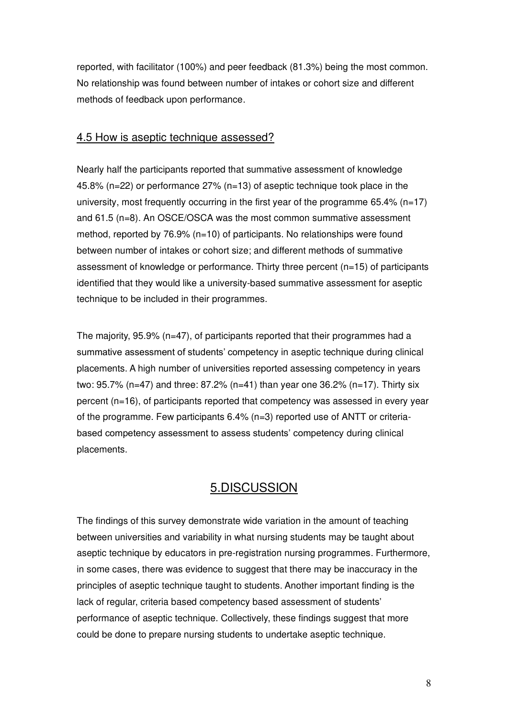reported, with facilitator (100%) and peer feedback (81.3%) being the most common. No relationship was found between number of intakes or cohort size and different methods of feedback upon performance.

## 4.5 How is aseptic technique assessed?

Nearly half the participants reported that summative assessment of knowledge 45.8% (n=22) or performance 27% (n=13) of aseptic technique took place in the university, most frequently occurring in the first year of the programme  $65.4\%$  (n=17) and 61.5 (n=8). An OSCE/OSCA was the most common summative assessment method, reported by 76.9% (n=10) of participants. No relationships were found between number of intakes or cohort size; and different methods of summative assessment of knowledge or performance. Thirty three percent (n=15) of participants identified that they would like a university-based summative assessment for aseptic technique to be included in their programmes.

The majority, 95.9% (n=47), of participants reported that their programmes had a summative assessment of students' competency in aseptic technique during clinical placements. A high number of universities reported assessing competency in years two: 95.7% (n=47) and three: 87.2% (n=41) than year one 36.2% (n=17). Thirty six percent (n=16), of participants reported that competency was assessed in every year of the programme. Few participants  $6.4\%$  (n=3) reported use of ANTT or criteriabased competency assessment to assess students' competency during clinical placements.

## 5.DISCUSSION

The findings of this survey demonstrate wide variation in the amount of teaching between universities and variability in what nursing students may be taught about aseptic technique by educators in pre-registration nursing programmes. Furthermore, in some cases, there was evidence to suggest that there may be inaccuracy in the principles of aseptic technique taught to students. Another important finding is the lack of regular, criteria based competency based assessment of students' performance of aseptic technique. Collectively, these findings suggest that more could be done to prepare nursing students to undertake aseptic technique.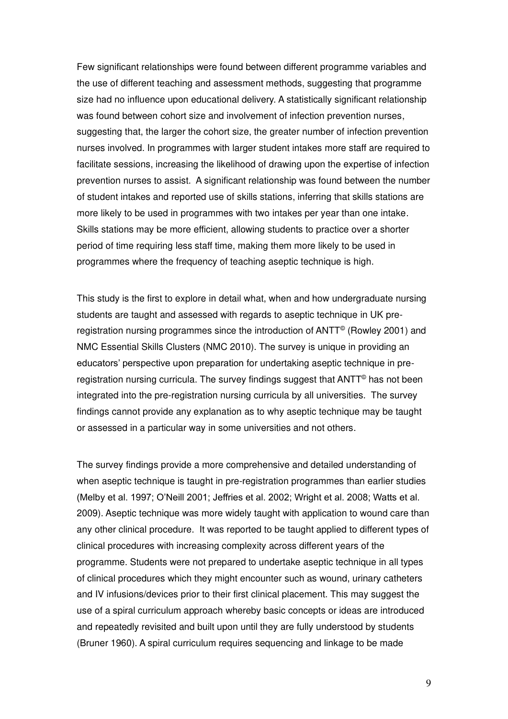Few significant relationships were found between different programme variables and the use of different teaching and assessment methods, suggesting that programme size had no influence upon educational delivery. A statistically significant relationship was found between cohort size and involvement of infection prevention nurses, suggesting that, the larger the cohort size, the greater number of infection prevention nurses involved. In programmes with larger student intakes more staff are required to facilitate sessions, increasing the likelihood of drawing upon the expertise of infection prevention nurses to assist. A significant relationship was found between the number of student intakes and reported use of skills stations, inferring that skills stations are more likely to be used in programmes with two intakes per year than one intake. Skills stations may be more efficient, allowing students to practice over a shorter period of time requiring less staff time, making them more likely to be used in programmes where the frequency of teaching aseptic technique is high.

This study is the first to explore in detail what, when and how undergraduate nursing students are taught and assessed with regards to aseptic technique in UK preregistration nursing programmes since the introduction of ANTT<sup>©</sup> (Rowley 2001) and NMC Essential Skills Clusters (NMC 2010). The survey is unique in providing an educators' perspective upon preparation for undertaking aseptic technique in preregistration nursing curricula. The survey findings suggest that ANTT<sup>®</sup> has not been integrated into the pre-registration nursing curricula by all universities. The survey findings cannot provide any explanation as to why aseptic technique may be taught or assessed in a particular way in some universities and not others.

The survey findings provide a more comprehensive and detailed understanding of when aseptic technique is taught in pre-registration programmes than earlier studies (Melby et al. 1997; O'Neill 2001; Jeffries et al. 2002; Wright et al. 2008; Watts et al. 2009). Aseptic technique was more widely taught with application to wound care than any other clinical procedure. It was reported to be taught applied to different types of clinical procedures with increasing complexity across different years of the programme. Students were not prepared to undertake aseptic technique in all types of clinical procedures which they might encounter such as wound, urinary catheters and IV infusions/devices prior to their first clinical placement. This may suggest the use of a spiral curriculum approach whereby basic concepts or ideas are introduced and repeatedly revisited and built upon until they are fully understood by students (Bruner 1960). A spiral curriculum requires sequencing and linkage to be made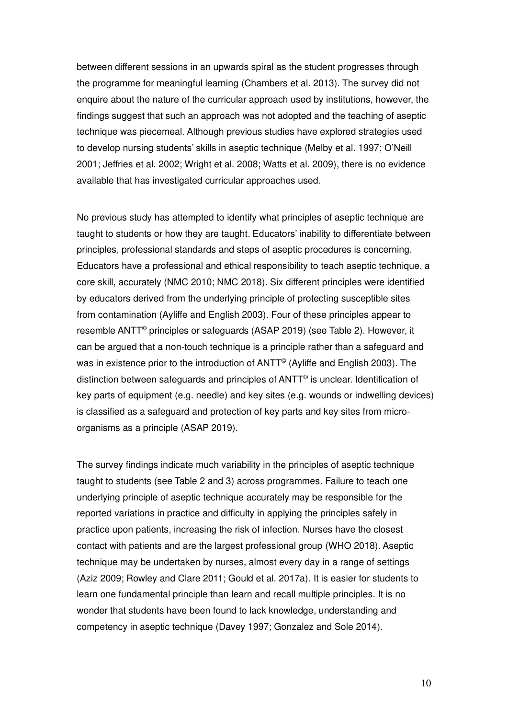between different sessions in an upwards spiral as the student progresses through the programme for meaningful learning (Chambers et al. 2013). The survey did not enquire about the nature of the curricular approach used by institutions, however, the findings suggest that such an approach was not adopted and the teaching of aseptic technique was piecemeal. Although previous studies have explored strategies used to develop nursing students' skills in aseptic technique (Melby et al. 1997; O'Neill 2001; Jeffries et al. 2002; Wright et al. 2008; Watts et al. 2009), there is no evidence available that has investigated curricular approaches used.

No previous study has attempted to identify what principles of aseptic technique are taught to students or how they are taught. Educators' inability to differentiate between principles, professional standards and steps of aseptic procedures is concerning. Educators have a professional and ethical responsibility to teach aseptic technique, a core skill, accurately (NMC 2010; NMC 2018). Six different principles were identified by educators derived from the underlying principle of protecting susceptible sites from contamination (Ayliffe and English 2003). Four of these principles appear to resemble ANTT<sup>©</sup> principles or safeguards (ASAP 2019) (see Table 2). However, it can be argued that a non-touch technique is a principle rather than a safeguard and was in existence prior to the introduction of ANTT<sup>©</sup> (Ayliffe and English 2003). The distinction between safeguards and principles of  $ANTT<sup>®</sup>$  is unclear. Identification of key parts of equipment (e.g. needle) and key sites (e.g. wounds or indwelling devices) is classified as a safeguard and protection of key parts and key sites from microorganisms as a principle (ASAP 2019).

The survey findings indicate much variability in the principles of aseptic technique taught to students (see Table 2 and 3) across programmes. Failure to teach one underlying principle of aseptic technique accurately may be responsible for the reported variations in practice and difficulty in applying the principles safely in practice upon patients, increasing the risk of infection. Nurses have the closest contact with patients and are the largest professional group (WHO 2018). Aseptic technique may be undertaken by nurses, almost every day in a range of settings (Aziz 2009; Rowley and Clare 2011; Gould et al. 2017a). It is easier for students to learn one fundamental principle than learn and recall multiple principles. It is no wonder that students have been found to lack knowledge, understanding and competency in aseptic technique (Davey 1997; Gonzalez and Sole 2014).

10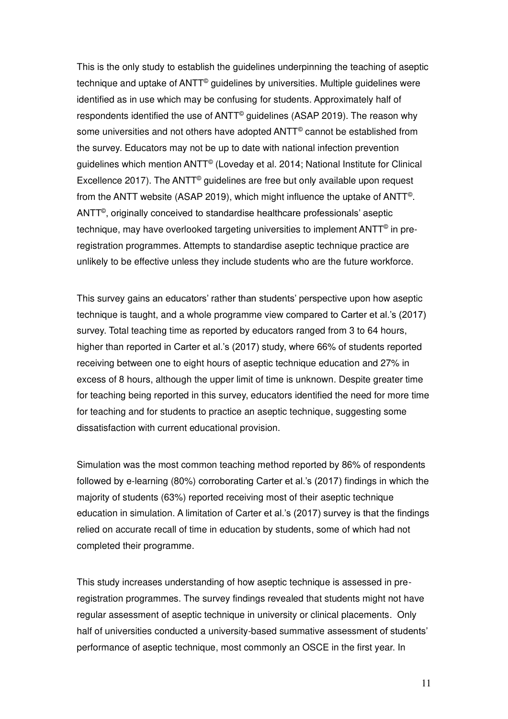This is the only study to establish the guidelines underpinning the teaching of aseptic technique and uptake of ANTT<sup>©</sup> guidelines by universities. Multiple guidelines were identified as in use which may be confusing for students. Approximately half of respondents identified the use of ANTT<sup>®</sup> guidelines (ASAP 2019). The reason why some universities and not others have adopted  $ANTT^{\circ}$  cannot be established from the survey. Educators may not be up to date with national infection prevention guidelines which mention ANTT© (Loveday et al. 2014; National Institute for Clinical Excellence 2017). The  $ANTT<sup>°</sup>$  guidelines are free but only available upon request from the ANTT website (ASAP 2019), which might influence the uptake of ANTT© .  $\mathsf{ANTT}^\circledcirc,$  originally conceived to standardise healthcare professionals' aseptic technique, may have overlooked targeting universities to implement  $\mathsf{ANTT}^\circledcirc$  in preregistration programmes. Attempts to standardise aseptic technique practice are unlikely to be effective unless they include students who are the future workforce.

This survey gains an educators' rather than students' perspective upon how aseptic technique is taught, and a whole programme view compared to Carter et al.'s (2017) survey. Total teaching time as reported by educators ranged from 3 to 64 hours, higher than reported in Carter et al.'s (2017) study, where 66% of students reported receiving between one to eight hours of aseptic technique education and 27% in excess of 8 hours, although the upper limit of time is unknown. Despite greater time for teaching being reported in this survey, educators identified the need for more time for teaching and for students to practice an aseptic technique, suggesting some dissatisfaction with current educational provision.

Simulation was the most common teaching method reported by 86% of respondents followed by e-learning (80%) corroborating Carter et al.'s (2017) findings in which the majority of students (63%) reported receiving most of their aseptic technique education in simulation. A limitation of Carter et al.'s (2017) survey is that the findings relied on accurate recall of time in education by students, some of which had not completed their programme.

This study increases understanding of how aseptic technique is assessed in preregistration programmes. The survey findings revealed that students might not have regular assessment of aseptic technique in university or clinical placements. Only half of universities conducted a university-based summative assessment of students' performance of aseptic technique, most commonly an OSCE in the first year. In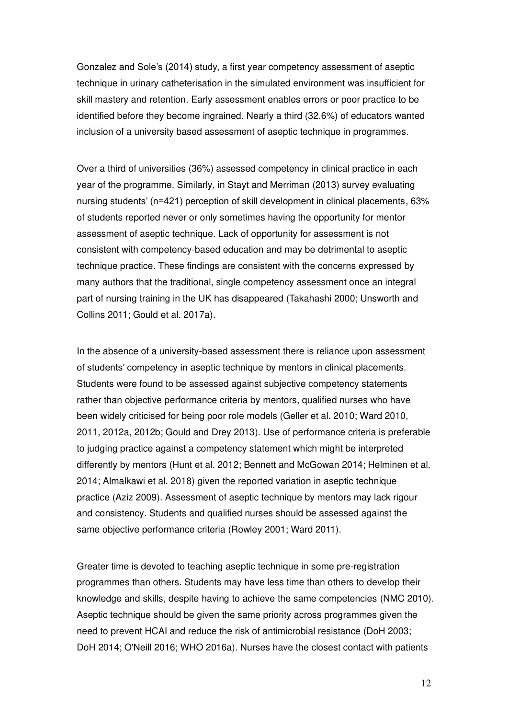Gonzalez and Sole's (2014) study, a first year competency assessment of aseptic technique in urinary catheterisation in the simulated environment was insufficient for skill mastery and retention. Early assessment enables errors or poor practice to be identified before they become ingrained. Nearly a third (32.6%) of educators wanted inclusion of a university based assessment of aseptic technique in programmes.

Over a third of universities (36%) assessed competency in clinical practice in each year of the programme. Similarly, in Stayt and Merriman (2013) survey evaluating nursing students' (n=421) perception of skill development in clinical placements, 63% of students reported never or only sometimes having the opportunity for mentor assessment of aseptic technique. Lack of opportunity for assessment is not consistent with competency-based education and may be detrimental to aseptic technique practice. These findings are consistent with the concerns expressed by many authors that the traditional, single competency assessment once an integral part of nursing training in the UK has disappeared (Takahashi 2000; Unsworth and Collins 2011; Gould et al. 2017a).

In the absence of a university-based assessment there is reliance upon assessment of students' competency in aseptic technique by mentors in clinical placements. Students were found to be assessed against subjective competency statements rather than objective performance criteria by mentors, qualified nurses who have been widely criticised for being poor role models (Geller et al. 2010; Ward 2010, 2011, 2012a, 2012b; Gould and Drey 2013). Use of performance criteria is preferable to judging practice against a competency statement which might be interpreted differently by mentors (Hunt et al. 2012; Bennett and McGowan 2014; Helminen et al. 2014; Almalkawi et al. 2018) given the reported variation in aseptic technique practice (Aziz 2009). Assessment of aseptic technique by mentors may lack rigour and consistency. Students and qualified nurses should be assessed against the same objective performance criteria (Rowley 2001; Ward 2011).

Greater time is devoted to teaching aseptic technique in some pre-registration programmes than others. Students may have less time than others to develop their knowledge and skills, despite having to achieve the same competencies (NMC 2010). Aseptic technique should be given the same priority across programmes given the need to prevent HCAI and reduce the risk of antimicrobial resistance (DoH 2003; DoH 2014; O'Neill 2016; WHO 2016a). Nurses have the closest contact with patients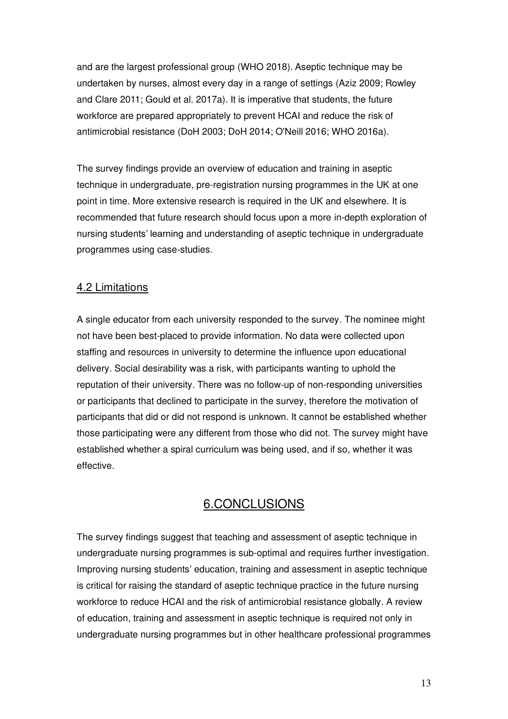and are the largest professional group (WHO 2018). Aseptic technique may be undertaken by nurses, almost every day in a range of settings (Aziz 2009; Rowley and Clare 2011; Gould et al. 2017a). It is imperative that students, the future workforce are prepared appropriately to prevent HCAI and reduce the risk of antimicrobial resistance (DoH 2003; DoH 2014; O'Neill 2016; WHO 2016a).

The survey findings provide an overview of education and training in aseptic technique in undergraduate, pre-registration nursing programmes in the UK at one point in time. More extensive research is required in the UK and elsewhere. It is recommended that future research should focus upon a more in-depth exploration of nursing students' learning and understanding of aseptic technique in undergraduate programmes using case-studies.

## 4.2 Limitations

A single educator from each university responded to the survey. The nominee might not have been best-placed to provide information. No data were collected upon staffing and resources in university to determine the influence upon educational delivery. Social desirability was a risk, with participants wanting to uphold the reputation of their university. There was no follow-up of non-responding universities or participants that declined to participate in the survey, therefore the motivation of participants that did or did not respond is unknown. It cannot be established whether those participating were any different from those who did not. The survey might have established whether a spiral curriculum was being used, and if so, whether it was effective.

## 6.CONCLUSIONS

The survey findings suggest that teaching and assessment of aseptic technique in undergraduate nursing programmes is sub-optimal and requires further investigation. Improving nursing students' education, training and assessment in aseptic technique is critical for raising the standard of aseptic technique practice in the future nursing workforce to reduce HCAI and the risk of antimicrobial resistance globally. A review of education, training and assessment in aseptic technique is required not only in undergraduate nursing programmes but in other healthcare professional programmes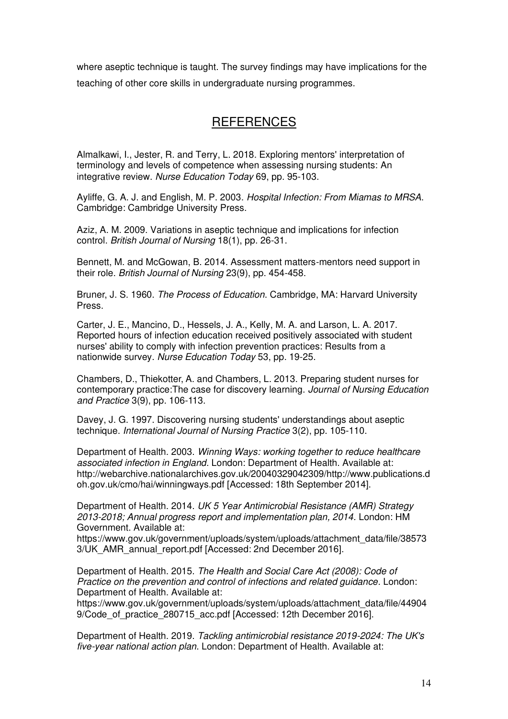where aseptic technique is taught. The survey findings may have implications for the teaching of other core skills in undergraduate nursing programmes.

## **REFERENCES**

Almalkawi, I., Jester, R. and Terry, L. 2018. Exploring mentors' interpretation of terminology and levels of competence when assessing nursing students: An integrative review. *Nurse Education Today* 69, pp. 95-103.

Ayliffe, G. A. J. and English, M. P. 2003. *Hospital Infection: From Miamas to MRSA*. Cambridge: Cambridge University Press.

Aziz, A. M. 2009. Variations in aseptic technique and implications for infection control. *British Journal of Nursing* 18(1), pp. 26-31.

Bennett, M. and McGowan, B. 2014. Assessment matters-mentors need support in their role. *British Journal of Nursing* 23(9), pp. 454-458.

Bruner, J. S. 1960. *The Process of Education*. Cambridge, MA: Harvard University Press.

Carter, J. E., Mancino, D., Hessels, J. A., Kelly, M. A. and Larson, L. A. 2017. Reported hours of infection education received positively associated with student nurses' ability to comply with infection prevention practices: Results from a nationwide survey. *Nurse Education Today* 53, pp. 19-25.

Chambers, D., Thiekotter, A. and Chambers, L. 2013. Preparing student nurses for contemporary practice:The case for discovery learning. *Journal of Nursing Education and Practice* 3(9), pp. 106-113.

Davey, J. G. 1997. Discovering nursing students' understandings about aseptic technique. *International Journal of Nursing Practice* 3(2), pp. 105-110.

Department of Health. 2003. *Winning Ways: working together to reduce healthcare associated infection in England*. London: Department of Health. Available at: http://webarchive.nationalarchives.gov.uk/20040329042309/http://www.publications.d oh.gov.uk/cmo/hai/winningways.pdf [Accessed: 18th September 2014].

Department of Health. 2014. *UK 5 Year Antimicrobial Resistance (AMR) Strategy 2013-2018; Annual progress report and implementation plan, 2014.* London: HM Government. Available at:

https://www.gov.uk/government/uploads/system/uploads/attachment\_data/file/38573 3/UK\_AMR\_annual\_report.pdf [Accessed: 2nd December 2016].

Department of Health. 2015. *The Health and Social Care Act (2008): Code of Practice on the prevention and control of infections and related guidance*. London: Department of Health. Available at:

https://www.gov.uk/government/uploads/system/uploads/attachment\_data/file/44904 9/Code\_of\_practice\_280715\_acc.pdf [Accessed: 12th December 2016].

Department of Health. 2019. *Tackling antimicrobial resistance 2019-2024: The UK's five-year national action plan*. London: Department of Health. Available at: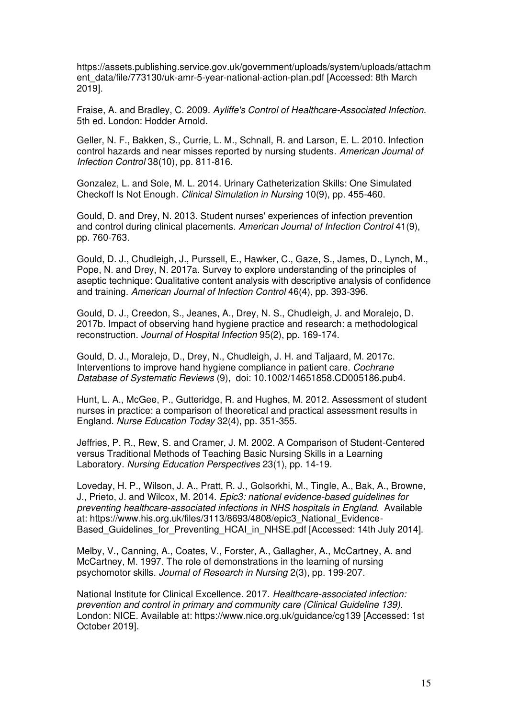https://assets.publishing.service.gov.uk/government/uploads/system/uploads/attachm ent\_data/file/773130/uk-amr-5-year-national-action-plan.pdf [Accessed: 8th March 2019].

Fraise, A. and Bradley, C. 2009. *Ayliffe's Control of Healthcare-Associated Infection*. 5th ed. London: Hodder Arnold.

Geller, N. F., Bakken, S., Currie, L. M., Schnall, R. and Larson, E. L. 2010. Infection control hazards and near misses reported by nursing students. *American Journal of Infection Control* 38(10), pp. 811-816.

Gonzalez, L. and Sole, M. L. 2014. Urinary Catheterization Skills: One Simulated Checkoff Is Not Enough. *Clinical Simulation in Nursing* 10(9), pp. 455-460.

Gould, D. and Drey, N. 2013. Student nurses' experiences of infection prevention and control during clinical placements. *American Journal of Infection Control* 41(9), pp. 760-763.

Gould, D. J., Chudleigh, J., Purssell, E., Hawker, C., Gaze, S., James, D., Lynch, M., Pope, N. and Drey, N. 2017a. Survey to explore understanding of the principles of aseptic technique: Qualitative content analysis with descriptive analysis of confidence and training. *American Journal of Infection Control* 46(4), pp. 393-396.

Gould, D. J., Creedon, S., Jeanes, A., Drey, N. S., Chudleigh, J. and Moralejo, D. 2017b. Impact of observing hand hygiene practice and research: a methodological reconstruction. *Journal of Hospital Infection* 95(2), pp. 169-174.

Gould, D. J., Moralejo, D., Drey, N., Chudleigh, J. H. and Taljaard, M. 2017c. Interventions to improve hand hygiene compliance in patient care. *Cochrane Database of Systematic Reviews* (9), doi: 10.1002/14651858.CD005186.pub4.

Hunt, L. A., McGee, P., Gutteridge, R. and Hughes, M. 2012. Assessment of student nurses in practice: a comparison of theoretical and practical assessment results in England. *Nurse Education Today* 32(4), pp. 351-355.

Jeffries, P. R., Rew, S. and Cramer, J. M. 2002. A Comparison of Student-Centered versus Traditional Methods of Teaching Basic Nursing Skills in a Learning Laboratory. *Nursing Education Perspectives* 23(1), pp. 14-19.

Loveday, H. P., Wilson, J. A., Pratt, R. J., Golsorkhi, M., Tingle, A., Bak, A., Browne, J., Prieto, J. and Wilcox, M. 2014. *Epic3: national evidence-based guidelines for preventing healthcare-associated infections in NHS hospitals in England*. Available at: https://www.his.org.uk/files/3113/8693/4808/epic3\_National\_Evidence-Based Guidelines for Preventing HCAI in NHSE.pdf [Accessed: 14th July 2014].

Melby, V., Canning, A., Coates, V., Forster, A., Gallagher, A., McCartney, A. and McCartney, M. 1997. The role of demonstrations in the learning of nursing psychomotor skills. *Journal of Research in Nursing* 2(3), pp. 199-207.

National Institute for Clinical Excellence. 2017. *Healthcare-associated infection: prevention and control in primary and community care (Clinical Guideline 139)*. London: NICE. Available at: https://www.nice.org.uk/guidance/cg139 [Accessed: 1st October 2019].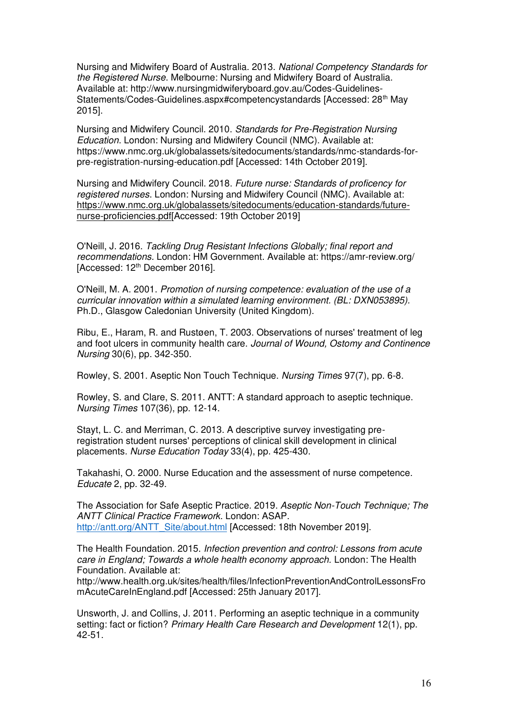Nursing and Midwifery Board of Australia. 2013. *National Competency Standards for the Registered Nurse*. Melbourne: Nursing and Midwifery Board of Australia. Available at: http://www.nursingmidwiferyboard.gov.au/Codes-Guidelines-Statements/Codes-Guidelines.aspx#competencystandards [Accessed: 28<sup>th</sup> May 2015].

Nursing and Midwifery Council. 2010. *Standards for Pre-Registration Nursing Education*. London: Nursing and Midwifery Council (NMC). Available at: https://www.nmc.org.uk/globalassets/sitedocuments/standards/nmc-standards-forpre-registration-nursing-education.pdf [Accessed: 14th October 2019].

Nursing and Midwifery Council. 2018. *Future nurse: Standards of proficency for registered nurses*. London: Nursing and Midwifery Council (NMC). Available at: [https://www.nmc.org.uk/globalassets/sitedocuments/education-standards/future](https://www.nmc.org.uk/globalassets/sitedocuments/education-standards/future-nurse-proficiencies.pdf)[nurse-proficiencies.pdf\[](https://www.nmc.org.uk/globalassets/sitedocuments/education-standards/future-nurse-proficiencies.pdf)Accessed: 19th October 2019]

O'Neill, J. 2016. *Tackling Drug Resistant Infections Globally; final report and recommendations.* London: HM Government. Available at: https://amr-review.org/ [Accessed: 12<sup>th</sup> December 2016].

O'Neill, M. A. 2001. *Promotion of nursing competence: evaluation of the use of a curricular innovation within a simulated learning environment. (BL: DXN053895).* Ph.D., Glasgow Caledonian University (United Kingdom).

Ribu, E., Haram, R. and Rustøen, T. 2003. Observations of nurses' treatment of leg and foot ulcers in community health care. *Journal of Wound, Ostomy and Continence Nursing* 30(6), pp. 342-350.

Rowley, S. 2001. Aseptic Non Touch Technique. *Nursing Times* 97(7), pp. 6-8.

Rowley, S. and Clare, S. 2011. ANTT: A standard approach to aseptic technique. *Nursing Times* 107(36), pp. 12-14.

Stayt, L. C. and Merriman, C. 2013. A descriptive survey investigating preregistration student nurses' perceptions of clinical skill development in clinical placements. *Nurse Education Today* 33(4), pp. 425-430.

Takahashi, O. 2000. Nurse Education and the assessment of nurse competence. *Educate* 2, pp. 32-49.

The Association for Safe Aseptic Practice. 2019. *Aseptic Non-Touch Technique; The ANTT Clinical Practice Framework*. London: ASAP. [http://antt.org/ANTT\\_Site/about.html](http://antt.org/ANTT_Site/about.html) [Accessed: 18th November 2019].

The Health Foundation. 2015. *Infection prevention and control: Lessons from acute care in England; Towards a whole health economy approach.* London: The Health Foundation. Available at:

http://www.health.org.uk/sites/health/files/InfectionPreventionAndControlLessonsFro mAcuteCareInEngland.pdf [Accessed: 25th January 2017].

Unsworth, J. and Collins, J. 2011. Performing an aseptic technique in a community setting: fact or fiction? *Primary Health Care Research and Development* 12(1), pp. 42-51.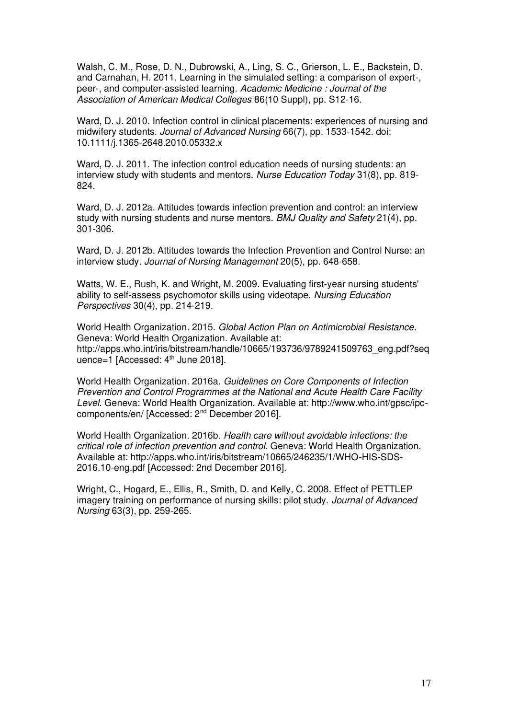Walsh, C. M., Rose, D. N., Dubrowski, A., Ling, S. C., Grierson, L. E., Backstein, D. and Carnahan, H. 2011. Learning in the simulated setting: a comparison of expert-, peer-, and computer-assisted learning. *Academic Medicine : Journal of the Association of American Medical Colleges* 86(10 Suppl), pp. S12-16.

Ward, D. J. 2010. Infection control in clinical placements: experiences of nursing and midwifery students. *Journal of Advanced Nursing* 66(7), pp. 1533-1542. doi: 10.1111/j.1365-2648.2010.05332.x

Ward, D. J. 2011. The infection control education needs of nursing students: an interview study with students and mentors. *Nurse Education Today* 31(8), pp. 819- 824.

Ward, D. J. 2012a. Attitudes towards infection prevention and control: an interview study with nursing students and nurse mentors. *BMJ Quality and Safety* 21(4), pp. 301-306.

Ward, D. J. 2012b. Attitudes towards the Infection Prevention and Control Nurse: an interview study. *Journal of Nursing Management* 20(5), pp. 648-658.

Watts, W. E., Rush, K. and Wright, M. 2009. Evaluating first-year nursing students' ability to self-assess psychomotor skills using videotape. *Nursing Education Perspectives* 30(4), pp. 214-219.

World Health Organization. 2015. *Global Action Plan on Antimicrobial Resistance*. Geneva: World Health Organization. Available at: http://apps.who.int/iris/bitstream/handle/10665/193736/9789241509763\_eng.pdf?seq uence=1 [Accessed: 4<sup>th</sup> June 2018].

World Health Organization. 2016a. *Guidelines on Core Components of Infection Prevention and Control Programmes at the National and Acute Health Care Facility Level*. Geneva: World Health Organization. Available at: http://www.who.int/gpsc/ipccomponents/en/ [Accessed: 2nd December 2016].

World Health Organization. 2016b. *Health care without avoidable infections: the critical role of infection prevention and control*. Geneva: World Health Organization. Available at: http://apps.who.int/iris/bitstream/10665/246235/1/WHO-HIS-SDS-2016.10-eng.pdf [Accessed: 2nd December 2016].

Wright, C., Hogard, E., Ellis, R., Smith, D. and Kelly, C. 2008. Effect of PETTLEP imagery training on performance of nursing skills: pilot study. *Journal of Advanced Nursing* 63(3), pp. 259-265.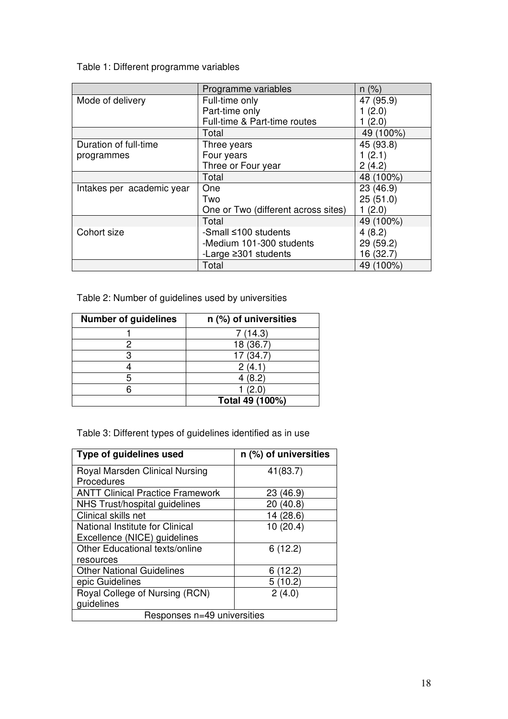Table 1: Different programme variables

|                           | Programme variables                 | $n (\%)$  |
|---------------------------|-------------------------------------|-----------|
| Mode of delivery          | Full-time only                      | 47 (95.9) |
|                           | Part-time only                      | 1(2.0)    |
|                           | Full-time & Part-time routes        | 1(2.0)    |
|                           | Total                               | 49 (100%) |
| Duration of full-time     | Three years                         | 45 (93.8) |
| programmes                | Four years                          | 1(2.1)    |
|                           | Three or Four year                  | 2(4.2)    |
|                           | Total                               | 48 (100%) |
| Intakes per academic year | One                                 | 23 (46.9) |
|                           | Two                                 | 25(51.0)  |
|                           | One or Two (different across sites) | 1(2.0)    |
|                           | Total                               | 49 (100%) |
| Cohort size               | -Small ≤100 students                | 4(8.2)    |
|                           | -Medium 101-300 students            | 29 (59.2) |
|                           | -Large $\geq$ 301 students          | 16 (32.7) |
|                           | Total                               | 49 (100%) |

Table 2: Number of guidelines used by universities

| <b>Number of guidelines</b> | n (%) of universities |
|-----------------------------|-----------------------|
|                             | 7(14.3)               |
|                             | 18 (36.7)             |
|                             | 17(34.7)              |
|                             | 2(4.1)                |
|                             | 4(8.2)                |
|                             | (2.0)                 |
|                             | Total 49 (100%)       |

Table 3: Different types of guidelines identified as in use

| Type of guidelines used                 | n (%) of universities |  |  |
|-----------------------------------------|-----------------------|--|--|
| Royal Marsden Clinical Nursing          | 41(83.7)              |  |  |
| Procedures                              |                       |  |  |
| <b>ANTT Clinical Practice Framework</b> | 23 (46.9)             |  |  |
| NHS Trust/hospital guidelines           | 20(40.8)              |  |  |
| Clinical skills net                     | 14 (28.6)             |  |  |
| National Institute for Clinical         | 10(20.4)              |  |  |
| Excellence (NICE) guidelines            |                       |  |  |
| Other Educational texts/online          | 6(12.2)               |  |  |
| resources                               |                       |  |  |
| <b>Other National Guidelines</b>        | (12.2)<br>6           |  |  |
| epic Guidelines                         | 5(10.2)               |  |  |
| Royal College of Nursing (RCN)          | 2(4.0)                |  |  |
| guidelines                              |                       |  |  |
| Responses n=49 universities             |                       |  |  |